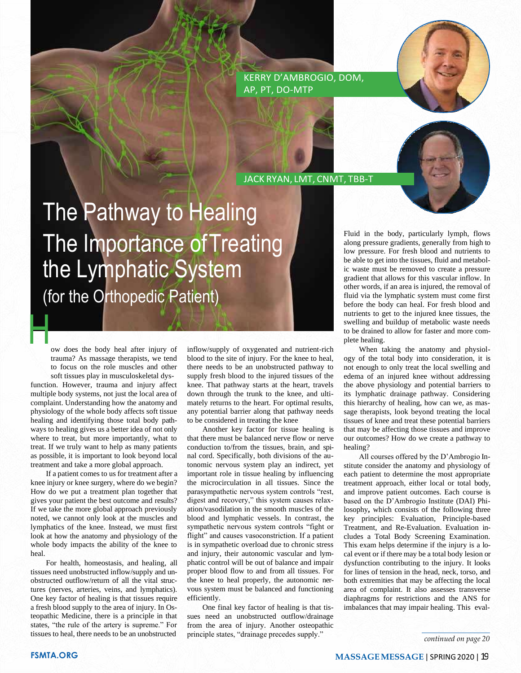KERRY D'AMBROGIO, DOM, AP, PT, DO-MTP

JACK RYAN, LMT, CNMT, TBB-T

## The Pathway to Healing The Importance of Treating the Lymphatic System (for the Orthopedic Patient)

H ow does the body heal after injury of trauma? As massage therapists, we tend to focus on the role muscles and other

soft tissues play in musculoskeletal dysfunction. However, trauma and injury affect multiple body systems, not just the local area of complaint. Understanding how the anatomy and physiology of the whole body affects soft tissue healing and identifying those total body pathways to healing gives us a better idea of not only where to treat, but more importantly, what to treat. If we truly want to help as many patients as possible, it is important to look beyond local treatment and take a more global approach.

If a patient comes to us for treatment after a knee injury or knee surgery, where do we begin? How do we put a treatment plan together that gives your patient the best outcome and results? If we take the more global approach previously noted, we cannot only look at the muscles and lymphatics of the knee. Instead, we must first look at how the anatomy and physiology of the whole body impacts the ability of the knee to heal.

For health, homeostasis, and healing, all tissues need unobstructed inflow/supply and unobstructed outflow/return of all the vital structures (nerves, arteries, veins, and lymphatics). One key factor of healing is that tissues require a fresh blood supply to the area of injury. In Osteopathic Medicine, there is a principle in that states, "the rule of the artery is supreme." For tissues to heal, there needs to be an unobstructed

inflow/supply of oxygenated and nutrient-rich blood to the site of injury. For the knee to heal, there needs to be an unobstructed pathway to supply fresh blood to the injured tissues of the knee. That pathway starts at the heart, travels down through the trunk to the knee, and ultimately returns to the heart. For optimal results, any potential barrier along that pathway needs to be considered in treating the knee

Another key factor for tissue healing is that there must be balanced nerve flow or nerve conduction to/from the tissues, brain, and spinal cord. Specifically, both divisions of the autonomic nervous system play an indirect, yet important role in tissue healing by influencing the microcirculation in all tissues. Since the parasympathetic nervous system controls "rest, digest and recovery," this system causes relaxation/vasodilation in the smooth muscles of the blood and lymphatic vessels. In contrast, the sympathetic nervous system controls "fight or flight" and causes vasoconstriction. If a patient is in sympathetic overload due to chronic stress and injury, their autonomic vascular and lymphatic control will be out of balance and impair proper blood flow to and from all tissues. For the knee to heal properly, the autonomic nervous system must be balanced and functioning efficiently.

One final key factor of healing is that tissues need an unobstructed outflow/drainage from the area of injury. Another osteopathic principle states, "drainage precedes supply."

Fluid in the body, particularly lymph, flows along pressure gradients, generally from high to low pressure. For fresh blood and nutrients to be able to get into the tissues, fluid and metabolic waste must be removed to create a pressure gradient that allows for this vascular inflow. In other words, if an area is injured, the removal of fluid via the lymphatic system must come first before the body can heal. For fresh blood and nutrients to get to the injured knee tissues, the swelling and buildup of metabolic waste needs to be drained to allow for faster and more complete healing.

When taking the anatomy and physiology of the total body into consideration, it is not enough to only treat the local swelling and edema of an injured knee without addressing the above physiology and potential barriers to its lymphatic drainage pathway. Considering this hierarchy of healing, how can we, as massage therapists, look beyond treating the local tissues of knee and treat these potential barriers that may be affecting those tissues and improve our outcomes? How do we create a pathway to healing?

All courses offered by the D'Ambrogio Institute consider the anatomy and physiology of each patient to determine the most appropriate treatment approach, either local or total body, and improve patient outcomes. Each course is based on the D'Ambrogio Institute (DAI) Philosophy**,** which consists of the following three key principles: Evaluation, Principle-based Treatment, and Re-Evaluation. Evaluation includes a Total Body Screening Examination. This exam helps determine if the injury is a local event or if there may be a total body lesion or dysfunction contributing to the injury. It looks for lines of tension in the head, neck, torso, and both extremities that may be affecting the local area of complaint. It also assesses transverse diaphragms for restrictions and the ANS for imbalances that may impair healing. This eval-